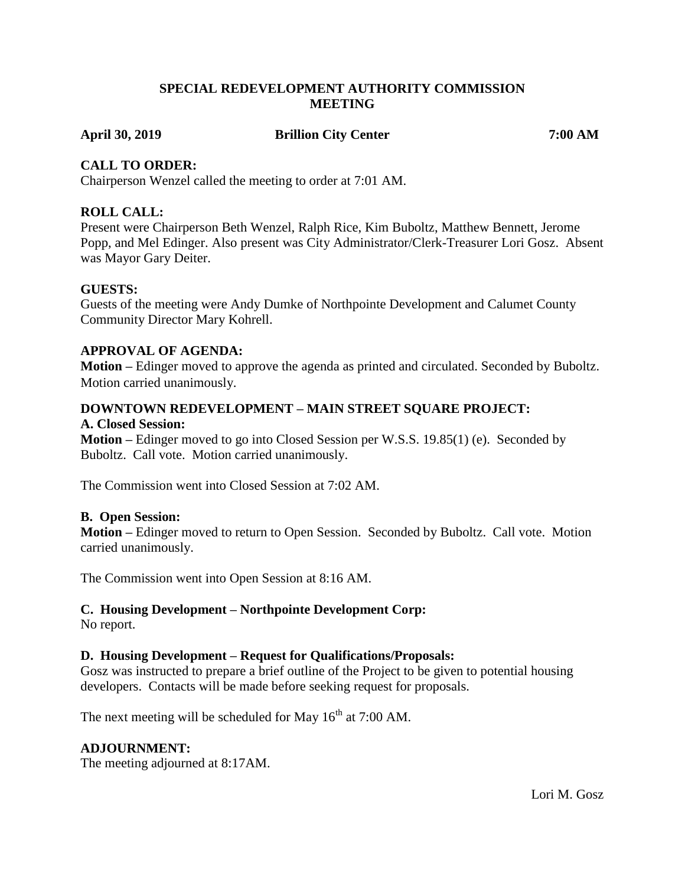## **SPECIAL REDEVELOPMENT AUTHORITY COMMISSION MEETING**

## **April 30, 2019 Brillion City Center 7:00 AM**

## **CALL TO ORDER:**

Chairperson Wenzel called the meeting to order at 7:01 AM.

## **ROLL CALL:**

Present were Chairperson Beth Wenzel, Ralph Rice, Kim Buboltz, Matthew Bennett, Jerome Popp, and Mel Edinger. Also present was City Administrator/Clerk-Treasurer Lori Gosz. Absent was Mayor Gary Deiter.

## **GUESTS:**

Guests of the meeting were Andy Dumke of Northpointe Development and Calumet County Community Director Mary Kohrell.

## **APPROVAL OF AGENDA:**

**Motion –** Edinger moved to approve the agenda as printed and circulated. Seconded by Buboltz. Motion carried unanimously.

## **DOWNTOWN REDEVELOPMENT – MAIN STREET SQUARE PROJECT:**

#### **A. Closed Session:**

**Motion –** Edinger moved to go into Closed Session per W.S.S. 19.85(1) (e). Seconded by Buboltz. Call vote. Motion carried unanimously.

The Commission went into Closed Session at 7:02 AM.

## **B. Open Session:**

**Motion –** Edinger moved to return to Open Session. Seconded by Buboltz. Call vote. Motion carried unanimously.

The Commission went into Open Session at 8:16 AM.

# **C. Housing Development – Northpointe Development Corp:**

No report.

## **D. Housing Development – Request for Qualifications/Proposals:**

Gosz was instructed to prepare a brief outline of the Project to be given to potential housing developers. Contacts will be made before seeking request for proposals.

The next meeting will be scheduled for May  $16<sup>th</sup>$  at 7:00 AM.

## **ADJOURNMENT:**

The meeting adjourned at 8:17AM.